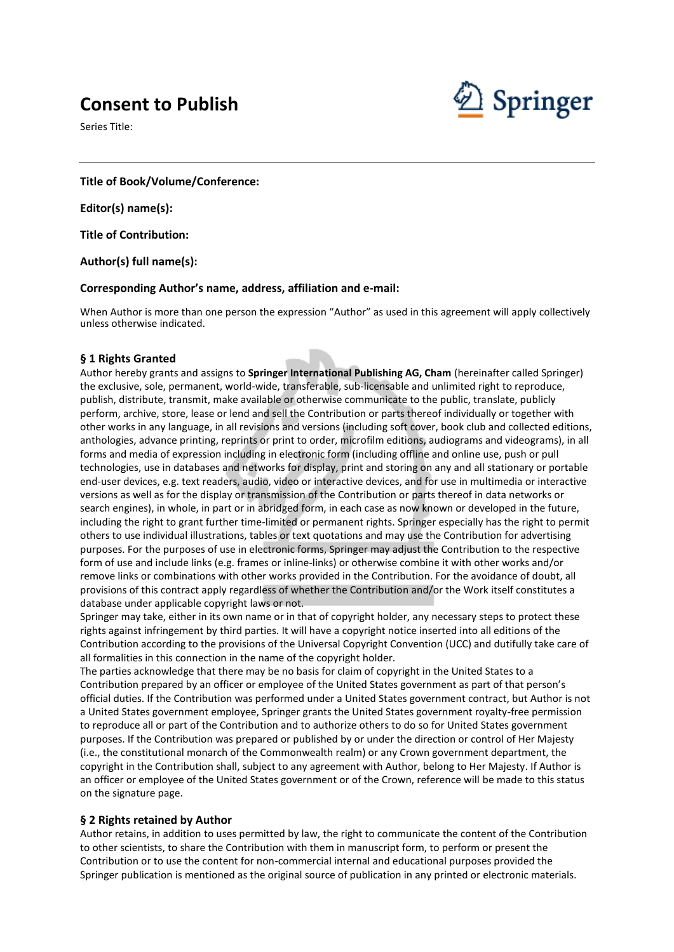# **Consent to Publish**

Series Title:



**Title of Book/Volume/Conference:**

**Editor(s) name(s):**

**Title of Contribution:**

**Author(s) full name(s):**

#### **Corresponding Author's name, address, affiliation and e-mail:**

When Author is more than one person the expression "Author" as used in this agreement will apply collectively unless otherwise indicated.

#### **§ 1 Rights Granted**

Author hereby grants and assigns to **Springer International Publishing AG, Cham** (hereinafter called Springer) the exclusive, sole, permanent, world-wide, transferable, sub-licensable and unlimited right to reproduce, publish, distribute, transmit, make available or otherwise communicate to the public, translate, publicly perform, archive, store, lease or lend and sell the Contribution or parts thereof individually or together with other works in any language, in all revisions and versions (including soft cover, book club and collected editions, anthologies, advance printing, reprints or print to order, microfilm editions, audiograms and videograms), in all forms and media of expression including in electronic form (including offline and online use, push or pull technologies, use in databases and networks for display, print and storing on any and all stationary or portable end-user devices, e.g. text readers, audio, video or interactive devices, and for use in multimedia or interactive versions as well as for the display or transmission of the Contribution or parts thereof in data networks or search engines), in whole, in part or in abridged form, in each case as now known or developed in the future, including the right to grant further time-limited or permanent rights. Springer especially has the right to permit others to use individual illustrations, tables or text quotations and may use the Contribution for advertising purposes. For the purposes of use in electronic forms, Springer may adjust the Contribution to the respective form of use and include links (e.g. frames or inline-links) or otherwise combine it with other works and/or remove links or combinations with other works provided in the Contribution. For the avoidance of doubt, all provisions of this contract apply regardless of whether the Contribution and/or the Work itself constitutes a database under applicable copyright laws or not.

Springer may take, either in its own name or in that of copyright holder, any necessary steps to protect these rights against infringement by third parties. It will have a copyright notice inserted into all editions of the Contribution according to the provisions of the Universal Copyright Convention (UCC) and dutifully take care of all formalities in this connection in the name of the copyright holder.

The parties acknowledge that there may be no basis for claim of copyright in the United States to a Contribution prepared by an officer or employee of the United States government as part of that person's official duties. If the Contribution was performed under a United States government contract, but Author is not a United States government employee, Springer grants the United States government royalty-free permission to reproduce all or part of the Contribution and to authorize others to do so for United States government purposes. If the Contribution was prepared or published by or under the direction or control of Her Majesty (i.e., the constitutional monarch of the Commonwealth realm) or any Crown government department, the copyright in the Contribution shall, subject to any agreement with Author, belong to Her Majesty. If Author is an officer or employee of the United States government or of the Crown, reference will be made to this status on the signature page.

## **§ 2 Rights retained by Author**

Author retains, in addition to uses permitted by law, the right to communicate the content of the Contribution to other scientists, to share the Contribution with them in manuscript form, to perform or present the Contribution or to use the content for non-commercial internal and educational purposes provided the Springer publication is mentioned as the original source of publication in any printed or electronic materials.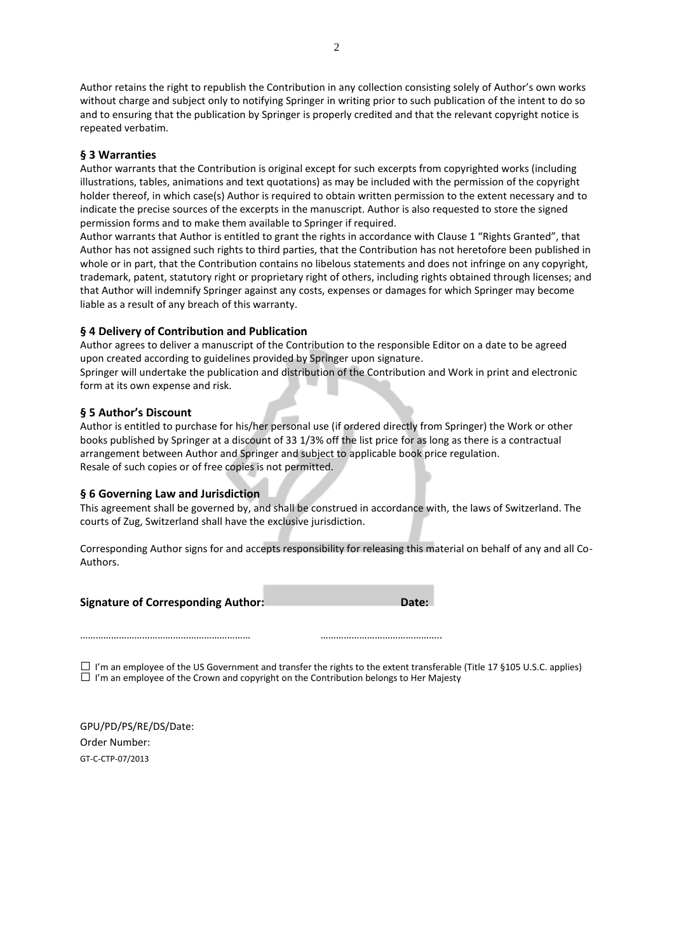Author retains the right to republish the Contribution in any collection consisting solely of Author's own works without charge and subject only to notifying Springer in writing prior to such publication of the intent to do so and to ensuring that the publication by Springer is properly credited and that the relevant copyright notice is repeated verbatim.

# **§ 3 Warranties**

Author warrants that the Contribution is original except for such excerpts from copyrighted works (including illustrations, tables, animations and text quotations) as may be included with the permission of the copyright holder thereof, in which case(s) Author is required to obtain written permission to the extent necessary and to indicate the precise sources of the excerpts in the manuscript. Author is also requested to store the signed permission forms and to make them available to Springer if required.

Author warrants that Author is entitled to grant the rights in accordance with Clause 1 "Rights Granted", that Author has not assigned such rights to third parties, that the Contribution has not heretofore been published in whole or in part, that the Contribution contains no libelous statements and does not infringe on any copyright, trademark, patent, statutory right or proprietary right of others, including rights obtained through licenses; and that Author will indemnify Springer against any costs, expenses or damages for which Springer may become liable as a result of any breach of this warranty.

# **§ 4 Delivery of Contribution and Publication**

Author agrees to deliver a manuscript of the Contribution to the responsible Editor on a date to be agreed upon created according to guidelines provided by Springer upon signature.

Springer will undertake the publication and distribution of the Contribution and Work in print and electronic form at its own expense and risk.

## **§ 5 Author's Discount**

Author is entitled to purchase for his/her personal use (if ordered directly from Springer) the Work or other books published by Springer at a discount of 33 1/3% off the list price for as long as there is a contractual arrangement between Author and Springer and subject to applicable book price regulation. Resale of such copies or of free copies is not permitted.

## **§ 6 Governing Law and Jurisdiction**

………………………………………………………… ………………………………………..

This agreement shall be governed by, and shall be construed in accordance with, the laws of Switzerland. The courts of Zug, Switzerland shall have the exclusive jurisdiction.

Corresponding Author signs for and accepts responsibility for releasing this material on behalf of any and all Co-Authors.

**Signature of Corresponding Author: Date: Date: Date:** 

 $\Box$  I'm an employee of the US Government and transfer the rights to the extent transferable (Title 17 §105 U.S.C. applies)  $\square$  I'm an employee of the Crown and copyright on the Contribution belongs to Her Majesty

GPU/PD/PS/RE/DS/Date: Order Number: GT-C-CTP-07/2013